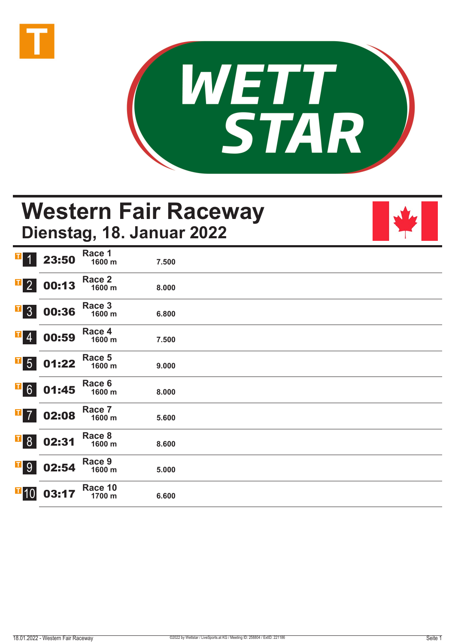



## **Western Fair Raceway Dienstag, 18. Januar 2022**

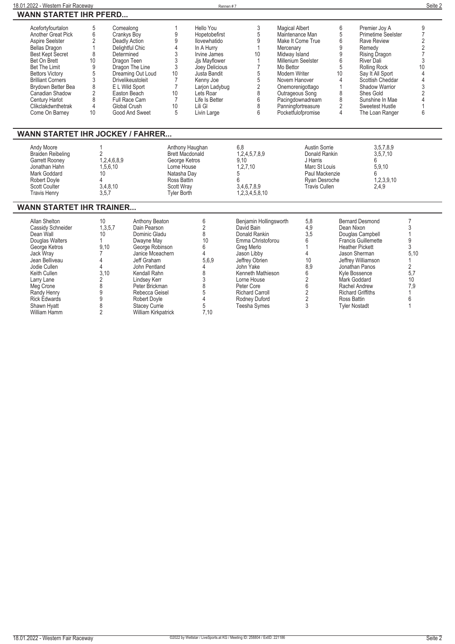| 18.01.2022 - Western Fair Raceway                                                                                                                                                                                                                                                                              |                                                                                                                                                                               |                                                                                                                                                                                                                                                                                |                                                                                                                                             | Rennen #7                                                                                                                                                                                                           |                                                                                                                                                                                                                                                                   |                                                                                                                                                                                                                                                                         |                                                                                                                        |                                                                                                                                                                                                                                                                                                                                                      | Seite 2                                                                                                                                            |
|----------------------------------------------------------------------------------------------------------------------------------------------------------------------------------------------------------------------------------------------------------------------------------------------------------------|-------------------------------------------------------------------------------------------------------------------------------------------------------------------------------|--------------------------------------------------------------------------------------------------------------------------------------------------------------------------------------------------------------------------------------------------------------------------------|---------------------------------------------------------------------------------------------------------------------------------------------|---------------------------------------------------------------------------------------------------------------------------------------------------------------------------------------------------------------------|-------------------------------------------------------------------------------------------------------------------------------------------------------------------------------------------------------------------------------------------------------------------|-------------------------------------------------------------------------------------------------------------------------------------------------------------------------------------------------------------------------------------------------------------------------|------------------------------------------------------------------------------------------------------------------------|------------------------------------------------------------------------------------------------------------------------------------------------------------------------------------------------------------------------------------------------------------------------------------------------------------------------------------------------------|----------------------------------------------------------------------------------------------------------------------------------------------------|
| <b>WANN STARTET IHR PFERD</b>                                                                                                                                                                                                                                                                                  |                                                                                                                                                                               |                                                                                                                                                                                                                                                                                |                                                                                                                                             |                                                                                                                                                                                                                     |                                                                                                                                                                                                                                                                   |                                                                                                                                                                                                                                                                         |                                                                                                                        |                                                                                                                                                                                                                                                                                                                                                      |                                                                                                                                                    |
| Acefortyfourtalon<br>Another Great Pick<br>Aspire Seelster<br><b>Bellas Dragon</b><br><b>Best Kept Secret</b><br>Bet On Brett<br><b>Bet The Limit</b><br><b>Bettors Victory</b><br><b>Brilliant Corners</b><br>Brydown Better Bea<br>Canadian Shadow<br>Century Harlot<br>Clikclakdwnthetrak<br>Come On Barney | 5<br>Comealong<br>6<br>$\overline{2}$<br>$\mathbf{1}$<br>8<br>Determined<br>10<br>$\boldsymbol{9}$<br>5<br>$\overline{3}$<br>8<br>$\overline{2}$<br>8<br>$\overline{4}$<br>10 | Crankys Boy<br>Deadly Action<br>Delightful Chic<br>Dragon Teen<br>Dragon The Line<br>Dreaming Out Loud<br><b>Drivelikeustoleit</b><br>E L Wild Sport<br>Easton Beach<br>Full Race Cam<br>Global Crush<br>Good And Sweet                                                        | 1<br>9<br>9<br>4<br>3<br>3<br>3<br>10<br>$\overline{7}$<br>$\overline{7}$<br>10<br>$\overline{7}$<br>10<br>5                                | Hello You<br>Hopetobefirst<br>llovewhatido<br>In A Hurry<br>Irvine James<br>Jis Mavflower<br>Joey Delicious<br>Justa Bandit<br>Kenny Joe<br>Larjon Ladybug<br>Lets Roar<br>Life Is Better<br>Lili Gl<br>Livin Large | 3<br>5<br>9<br>$\overline{1}$<br>10<br>$\mathbf{1}$<br>$\overline{7}$<br>$\overline{5}$<br>$\overline{5}$<br>$\overline{2}$<br>8<br>$6\phantom{1}$<br>8<br>6                                                                                                      | <b>Magical Albert</b><br>Maintenance Man<br>Make It Come True<br>Mercenary<br>Midway Island<br>Millenium Seelster<br>Mo Bettor<br>Modern Writer<br>Novem Hanover<br>Onemorenigottago<br>Outrageous Song<br>Pacingdownadream<br>Panningfortreasure<br>Pocketfulofpromise | 10                                                                                                                     | 6<br>Premier Joy A<br>5<br>Primetime Seelster<br>6<br><b>Rave Review</b><br>9<br>Remedy<br>9<br>Rising Dragon<br>6<br>River Dali<br>5<br><b>Rolling Rock</b><br>Say It All Sport<br>4<br>Scottish Cheddar<br>Shadow Warrior<br>1<br>8<br>Shes Gold<br>8<br>Sunshine In Mae<br>$\overline{2}$<br>Sweetest Hustle<br>$\overline{4}$<br>The Loan Ranger | 9<br>$\overline{7}$<br>$\overline{2}$<br>$\overline{c}$<br>$\overline{7}$<br>3<br>10<br>4<br>4<br>3<br>$\overline{2}$<br>$\overline{\Lambda}$<br>6 |
|                                                                                                                                                                                                                                                                                                                | <b>WANN STARTET IHR JOCKEY / FAHRER</b>                                                                                                                                       |                                                                                                                                                                                                                                                                                |                                                                                                                                             |                                                                                                                                                                                                                     |                                                                                                                                                                                                                                                                   |                                                                                                                                                                                                                                                                         |                                                                                                                        |                                                                                                                                                                                                                                                                                                                                                      |                                                                                                                                                    |
| Andy Moore<br><b>Braiden Reibeling</b><br><b>Garrett Rooney</b><br>Jonathan Hahn<br>Mark Goddard<br>Robert Doyle<br><b>Scott Coulter</b><br><b>Travis Henry</b>                                                                                                                                                | $\overline{2}$<br>1,2,4,6,8,9<br>1,5,6,10<br>10 <sup>°</sup><br>$\overline{4}$<br>3,4,8,10<br>3,5,7                                                                           |                                                                                                                                                                                                                                                                                | Anthony Haughan<br><b>Brett Macdonald</b><br>George Ketros<br>Lorne House<br>Natasha Dav<br>Ross Battin<br>Scott Wrav<br><b>Tyler Borth</b> |                                                                                                                                                                                                                     | 6.8<br>1,2,4,5,7,8,9<br>9.10<br>1, 2, 7, 10<br>5<br>6<br>3,4,6,7,8,9<br>1,2,3,4,5,8,10                                                                                                                                                                            |                                                                                                                                                                                                                                                                         | Austin Sorrie<br>Donald Rankin<br>J Harris<br>Marc St Louis<br>Paul Mackenzie<br>Rvan Desroche<br><b>Travis Cullen</b> | 3,5,7,8,9<br>3,5,7,10<br>6<br>5.9.10<br>6<br>1,2,3,9,10<br>2.4,9                                                                                                                                                                                                                                                                                     |                                                                                                                                                    |
| <b>WANN STARTET IHR TRAINER</b>                                                                                                                                                                                                                                                                                |                                                                                                                                                                               |                                                                                                                                                                                                                                                                                |                                                                                                                                             |                                                                                                                                                                                                                     |                                                                                                                                                                                                                                                                   |                                                                                                                                                                                                                                                                         |                                                                                                                        |                                                                                                                                                                                                                                                                                                                                                      |                                                                                                                                                    |
| Allan Shelton<br>Cassidy Schneider<br>Dean Wall<br>Douglas Walters<br>George Ketros<br>Jack Wray<br>Jean Belliveau<br>Jodie Cullen<br>Keith Cullen<br>Larry Lane<br>Meg Crone<br>Randy Henry<br><b>Rick Edwards</b><br>Shawn Hyatt<br>William Hamm                                                             | 10<br>1.3.5.7<br>10 <sup>1</sup><br>1<br>9.10<br>$\overline{7}$<br>4<br>4<br>3.10<br>$\overline{2}$<br>8<br>9<br>9<br>8<br>$\overline{2}$                                     | Anthony Beaton<br>Dain Pearson<br>Dominic Gladu<br>Dwayne May<br>George Robinson<br>Janice Mceachern<br>Jeff Graham<br>John Pentland<br>Kendall Rahn<br>Lindsey Kerr<br>Peter Brickman<br>Rebecca Geisel<br><b>Robert Dovle</b><br><b>Stacey Currie</b><br>William Kirkpatrick |                                                                                                                                             | 6<br>$\sqrt{2}$<br>8<br>10<br>6<br>$\overline{4}$<br>5.6.9<br>4<br>8<br>$\sqrt{3}$<br>8<br>5<br>$\overline{A}$<br>5<br>7.10                                                                                         | Benjamin Hollingsworth<br>David Bain<br>Donald Rankin<br>Emma Christoforou<br>Greg Merlo<br>Jason Libby<br>Jeffrey Obrien<br>John Yake<br>Kenneth Mathieson<br>Lorne House<br>Peter Core<br><b>Richard Carroll</b><br><b>Rodney Duford</b><br><b>Teesha Symes</b> | 5,8<br>4.9<br>3.5<br>6<br>1<br>4<br>10<br>8,9<br>6<br>$\sqrt{2}$<br>6<br>$\overline{2}$<br>$\sqrt{2}$<br>$\overline{3}$                                                                                                                                                 |                                                                                                                        | <b>Bernard Desmond</b><br>Dean Nixon<br>Douglas Campbell<br>Francis Guillemette<br><b>Heather Pickett</b><br>Jason Sherman<br>Jeffrey Williamson<br>Jonathan Panos<br>Kyle Bossence<br>Mark Goddard<br>Rachel Andrew<br><b>Richard Griffiths</b><br>Ross Battin<br><b>Tyler Nostadt</b>                                                              | $\overline{7}$<br>3<br>1<br>9<br>3<br>5.10<br>$\overline{2}$<br>5,7<br>10<br>7,9<br>6<br>1                                                         |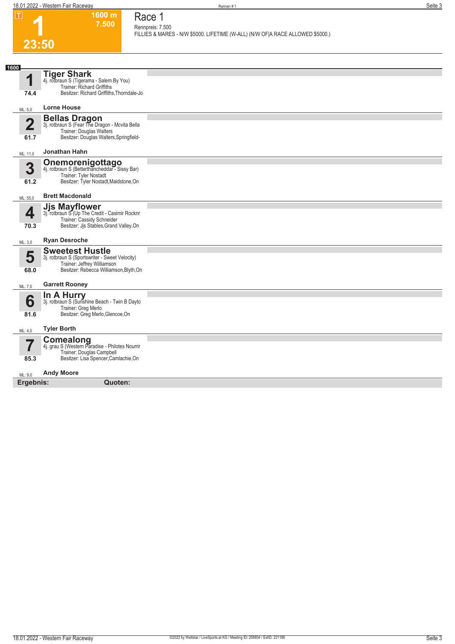**1600 m 7.500**  **Race 1 Rennpreis: 7.500**

| . .                             | ווו טטט<br>7.500                                                                                                                                     | Race I<br>Rennpreis: 7.500                                                     |
|---------------------------------|------------------------------------------------------------------------------------------------------------------------------------------------------|--------------------------------------------------------------------------------|
|                                 |                                                                                                                                                      | FILLIES & MARES - N/W \$5000. LIFETIME (W-ALL) (N/W OF A RACE ALLOWED \$5000.) |
| 23:50                           |                                                                                                                                                      |                                                                                |
|                                 |                                                                                                                                                      |                                                                                |
| 1600<br>1<br>74.4               | <b>Tiger Shark</b><br>4j. rotbraun S (Tigerama - Salem By You)<br>Trainer: Richard Griffiths<br>Besitzer: Richard Griffiths, Thorndale-Jo            |                                                                                |
| ML: 5,0                         | <b>Lorne House</b>                                                                                                                                   |                                                                                |
| $\overline{\mathbf{2}}$<br>61.7 | <b>Bellas Dragon</b><br>3j. rotbraun S (Fear The Dragon - Mcvita Bella<br>Trainer: Douglas Walters<br>Besitzer: Douglas Walters, Springfield-        |                                                                                |
| ML: 11,0                        | Jonathan Hahn                                                                                                                                        |                                                                                |
| 3<br>61.2                       | <b>Onemorenigottago</b><br>4j. rotbraun S (Betterthancheddar - Sissy Bar)<br><b>Trainer: Tyler Nostadt</b><br>Besitzer: Tyler Nostadt, Maidstone, On |                                                                                |
| ML: 55,0                        | <b>Brett Macdonald</b>                                                                                                                               |                                                                                |
| 4<br>70.3                       | <b>Jjs Mayflower</b><br>3j. rotbraun S (Up The Credit - Casimir Rocknr<br>Trainer: Cassidy Schneider<br>Besitzer: Jjs Stables, Grand Valley, On      |                                                                                |
| ML: 3,0                         | <b>Ryan Desroche</b>                                                                                                                                 |                                                                                |
| 5<br>68.0                       | <b>Sweetest Hustle</b><br>3j. rotbraun S (Sportswriter - Sweet Velocity)<br>Trainer: Jeffrey Williamson<br>Besitzer: Rebecca Williamson, Blyth, On   |                                                                                |
| ML: 7,0                         | <b>Garrett Rooney</b>                                                                                                                                |                                                                                |
| 6<br>81.6                       | In A Hurry<br>3j. rotbraun S (Sunshine Beach - Twin B Dayto<br>Trainer: Greg Merlo<br>Besitzer: Greg Merlo, Glencoe, On                              |                                                                                |
| ML: 4,0                         | <b>Tyler Borth</b>                                                                                                                                   |                                                                                |
| 7                               | Comealong<br>4j. grau S (Western Paradise - Philotes Nourrir<br>Trainer: Douglas Campbell                                                            |                                                                                |
| 85.3                            | Besitzer: Lisa Spencer, Camlachie, On                                                                                                                |                                                                                |
| ML: 9,0                         | <b>Andy Moore</b>                                                                                                                                    |                                                                                |
| Ergebnis:                       | Quoten:                                                                                                                                              |                                                                                |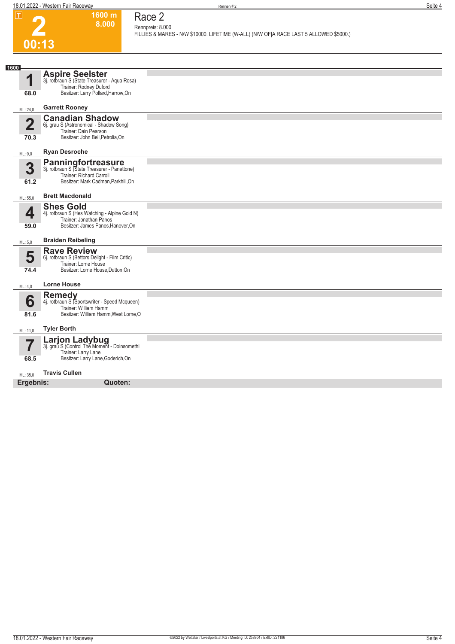| П                               | 1600 m<br>8.000                                                                                                                              | Race 2                                                                                                     |
|---------------------------------|----------------------------------------------------------------------------------------------------------------------------------------------|------------------------------------------------------------------------------------------------------------|
|                                 |                                                                                                                                              | Rennpreis: 8.000<br>FILLIES & MARES - N/W \$10000. LIFETIME (W-ALL) (N/W OF A RACE LAST 5 ALLOWED \$5000.) |
| 00:13                           |                                                                                                                                              |                                                                                                            |
|                                 |                                                                                                                                              |                                                                                                            |
| 1600                            |                                                                                                                                              |                                                                                                            |
| 1<br>68.0                       | <b>Aspire Seelster</b><br>3j. rotbraun S (State Treasurer - Aqua Rosa)<br>Trainer: Rodney Duford<br>Besitzer: Larry Pollard, Harrow, On      |                                                                                                            |
|                                 |                                                                                                                                              |                                                                                                            |
| ML: 24,0                        | <b>Garrett Rooney</b>                                                                                                                        |                                                                                                            |
| $\overline{\mathbf{2}}$<br>70.3 | <b>Canadian Shadow</b><br>6j. grau S (Astronomical - Shadow Song)<br>Trainer: Dain Pearson<br>Besitzer: John Bell, Petrolia, On              |                                                                                                            |
| ML: 9,0                         | <b>Ryan Desroche</b>                                                                                                                         |                                                                                                            |
|                                 |                                                                                                                                              |                                                                                                            |
| 3<br>61.2                       | <b>Panningfortreasure</b><br>3j. rotbraun S (State Treasurer - Panettone)<br>Trainer: Richard Carroll<br>Besitzer: Mark Cadman, Parkhill, On |                                                                                                            |
| ML: 55,0                        | <b>Brett Macdonald</b>                                                                                                                       |                                                                                                            |
| 4<br>59.0                       | <b>Shes Gold</b><br>4j. rotbraun S (Hes Watching - Alpine Gold N)<br>Trainer: Jonathan Panos<br>Besitzer: James Panos, Hanover, On           |                                                                                                            |
| ML: 5,0                         | <b>Braiden Reibeling</b>                                                                                                                     |                                                                                                            |
| 5<br>74.4                       | <b>Rave Review</b><br>6j. rotbraun S (Bettors Delight - Film Critic)<br>Trainer: Lorne House<br>Besitzer: Lorne House, Dutton, On            |                                                                                                            |
| ML: 4,0                         | <b>Lorne House</b>                                                                                                                           |                                                                                                            |
| 6<br>81.6                       | <b>Remedy</b><br>4j. rotbraun S (Sportswriter - Speed Mcqueen)<br>Trainer: William Hamm<br>Besitzer: William Hamm, West Lorne, O             |                                                                                                            |
| ML: 11,0                        | <b>Tyler Borth</b>                                                                                                                           |                                                                                                            |
| $\overline{\mathbf{7}}$<br>68.5 | Larjon Ladybug<br>3j. grau S (Control The Moment - Doinsomethi<br>Trainer: Larry Lane<br>Besitzer: Larry Lane, Goderich, On                  |                                                                                                            |
| ML: 35,0                        | <b>Travis Cullen</b>                                                                                                                         |                                                                                                            |
| Ergebnis:                       | Quoten:                                                                                                                                      |                                                                                                            |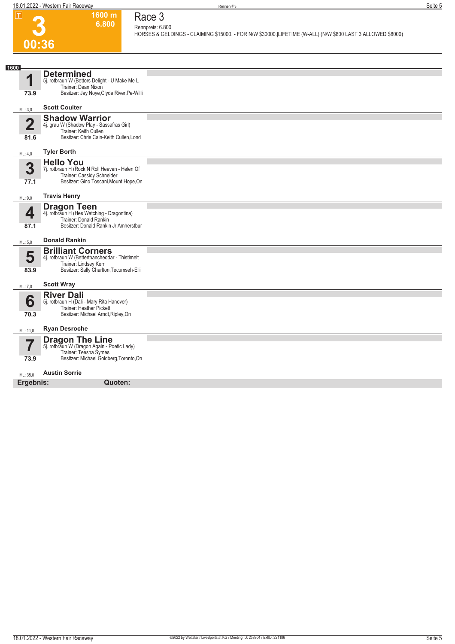

## **Race 3 Rennpreis: 6.800**

**1600 m 6.800** 

**HORSES & GELDINGS - CLAIMING \$15000. - FOR N/W \$30000.|LIFETIME (W-ALL) (N/W \$800 LAST 3 ALLOWED \$8000)** 

| 1600           |                                                                                                                                                |  |  |  |
|----------------|------------------------------------------------------------------------------------------------------------------------------------------------|--|--|--|
| И              | <b>Determined</b><br>5j. rotbraun W (Bettors Delight - U Make Me L<br>Trainer: Dean Nixon                                                      |  |  |  |
| 73.9           | Besitzer: Jay Noye, Clyde River, Pe-Willi                                                                                                      |  |  |  |
| ML: 3,0        | <b>Scott Coulter</b>                                                                                                                           |  |  |  |
| $\overline{2}$ | <b>Shadow Warrior</b><br>4j. grau W (Shadow Play - Sassafras Girl)<br>Trainer: Keith Cullen                                                    |  |  |  |
| 81.6           | Besitzer: Chris Cain-Keith Cullen, Lond                                                                                                        |  |  |  |
| ML: 4,0        | <b>Tyler Borth</b>                                                                                                                             |  |  |  |
| 3<br>77.1      | <b>Hello You</b><br>7j. rotbraun H (Rock N Roll Heaven - Helen Of<br>Trainer: Cassidy Schneider<br>Besitzer: Gino Toscani, Mount Hope, On      |  |  |  |
| ML: 9,0        | <b>Travis Henry</b>                                                                                                                            |  |  |  |
| 4<br>87.1      | <b>Dragon Teen</b><br>4j. rotbraun H (Hes Watching - Dragontina)<br>Trainer: Donald Rankin<br>Besitzer: Donald Rankin Jr, Amherstbur           |  |  |  |
| ML: 5,0        | <b>Donald Rankin</b>                                                                                                                           |  |  |  |
| 5<br>83.9      | <b>Brilliant Corners</b><br>4j. rotbraun W (Betterthancheddar - Thistimeit<br>Trainer: Lindsey Kerr<br>Besitzer: Sally Charlton, Tecumseh-Elli |  |  |  |
| ML: 7,0        | <b>Scott Wray</b>                                                                                                                              |  |  |  |
| 6<br>70.3      | <b>River Dali</b><br>5j. rotbraun H (Dali - Mary Rita Hanover)<br>Trainer: Heather Pickett<br>Besitzer: Michael Arndt, Ripley, On              |  |  |  |
| ML: 11,0       | <b>Ryan Desroche</b>                                                                                                                           |  |  |  |
| 7<br>73.9      | <b>Dragon The Line</b><br>5j. rotbraun W (Dragon Again - Poetic Lady)<br>Trainer: Teesha Symes<br>Besitzer: Michael Goldberg, Toronto, On      |  |  |  |
| ML: 35,0       | <b>Austin Sorrie</b>                                                                                                                           |  |  |  |
|                | Ergebnis:<br>Quoten:                                                                                                                           |  |  |  |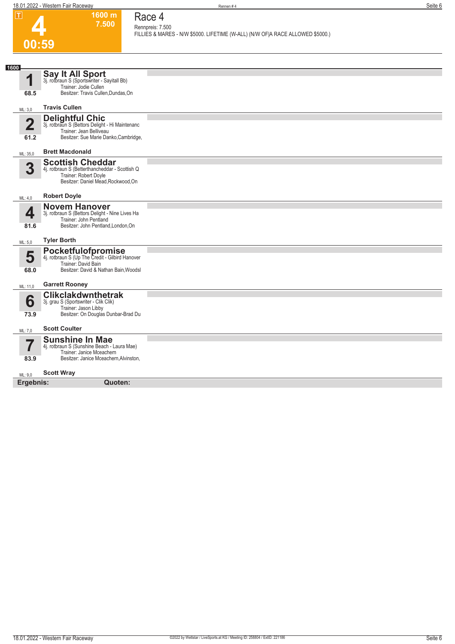**Race 4**

| П                               | 1600 m<br>7.500                                                                                                                               | Race 4                                                                                             |
|---------------------------------|-----------------------------------------------------------------------------------------------------------------------------------------------|----------------------------------------------------------------------------------------------------|
|                                 |                                                                                                                                               | Rennpreis: 7.500<br>FILLIES & MARES - N/W \$5000. LIFETIME (W-ALL) (N/W OF A RACE ALLOWED \$5000.) |
|                                 | 00:59                                                                                                                                         |                                                                                                    |
|                                 |                                                                                                                                               |                                                                                                    |
| 1600                            |                                                                                                                                               |                                                                                                    |
| 1                               | <b>Say It All Sport</b><br>3j. rotbraun S (Sportswriter - Sayitall Bb)<br>Trainer: Jodie Cullen                                               |                                                                                                    |
| 68.5                            | Besitzer: Travis Cullen, Dundas, On                                                                                                           |                                                                                                    |
| ML: 3,0                         | <b>Travis Cullen</b>                                                                                                                          |                                                                                                    |
| $\overline{\mathbf{2}}$<br>61.2 | <b>Delightful Chic</b><br>3j. rotbraun S (Bettors Delight - Hi Maintenanc<br>Trainer: Jean Belliveau<br>Besitzer: Sue Marie Danko, Cambridge, |                                                                                                    |
|                                 | <b>Brett Macdonald</b>                                                                                                                        |                                                                                                    |
| ML: 35,0                        | <b>Scottish Cheddar</b>                                                                                                                       |                                                                                                    |
| 3                               | 4j. rotbraun S (Betterthancheddar - Scottish Q<br>Trainer: Robert Doyle<br>Besitzer: Daniel Mead, Rockwood, On                                |                                                                                                    |
| ML: 4,0                         | <b>Robert Doyle</b>                                                                                                                           |                                                                                                    |
| 4<br>81.6                       | <b>Novem Hanover</b><br>3j. rotbraun S (Bettors Delight - Nine Lives Ha<br>Trainer: John Pentland<br>Besitzer: John Pentland, London, On      |                                                                                                    |
| ML: 5,0                         | <b>Tyler Borth</b>                                                                                                                            |                                                                                                    |
| 5<br>68.0                       | Pocketfulofpromise<br>4j. rotbraun S (Up The Credit - Gilbird Hanover<br>Trainer: David Bain<br>Besitzer: David & Nathan Bain, Woodsl         |                                                                                                    |
| ML: 11,0                        | <b>Garrett Rooney</b>                                                                                                                         |                                                                                                    |
| 6<br>73.9                       | <b>Clikclakdwnthetrak</b><br>3j. grau S (Sportswriter - Clik Clik)<br>Trainer: Jason Libby<br>Besitzer: On Douglas Dunbar-Brad Du             |                                                                                                    |
| ML: 7,0                         | <b>Scott Coulter</b>                                                                                                                          |                                                                                                    |
| $\overline{\mathbf{7}}$<br>83.9 | <b>Sunshine In Mae</b><br>4j. rotbraun S (Sunshine Beach - Laura Mae)<br>Trainer: Janice Mceachern<br>Besitzer: Janice Mceachern, Alvinston,  |                                                                                                    |
| ML: 9,0                         | <b>Scott Wray</b>                                                                                                                             |                                                                                                    |
| Ergebnis:                       | Quoten:                                                                                                                                       |                                                                                                    |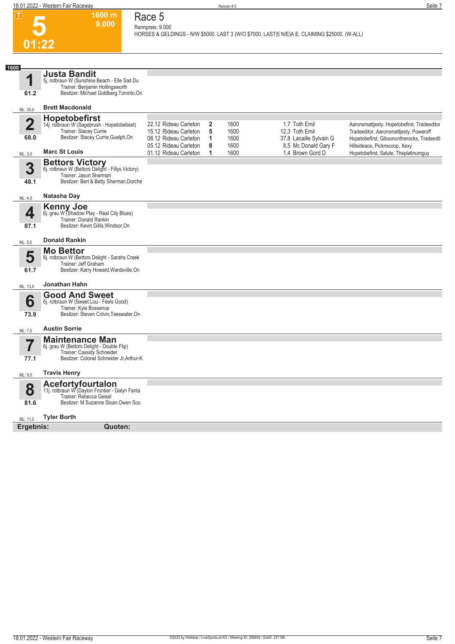

**1600 m**

**Race 5 Rennpreis: 9.000**

**HORSES & GELDINGS - N/W \$5000. LAST 3 (W/O \$7000. LAST|5 N/E)A.E. CLAIMING \$25000. (W-ALL)** 

| 1600                            |                                                                                                                                                    |                                                                         |                        |                      |                                                            |                                                                                                                                     |
|---------------------------------|----------------------------------------------------------------------------------------------------------------------------------------------------|-------------------------------------------------------------------------|------------------------|----------------------|------------------------------------------------------------|-------------------------------------------------------------------------------------------------------------------------------------|
| 1<br>61.2                       | <b>Justa Bandit</b><br>5j. rotbraun W (Sunshine Beach - Elle Sait Du<br>Trainer: Benjamin Hollingsworth<br>Besitzer: Michael Goldberg, Toronto, On |                                                                         |                        |                      |                                                            |                                                                                                                                     |
| ML: 35,0                        | <b>Brett Macdonald</b>                                                                                                                             |                                                                         |                        |                      |                                                            |                                                                                                                                     |
| $\overline{\mathbf{2}}$<br>68.0 | <b>Hopetobefirst</b><br>14j. rotbraun W (Sagebrush - Hopetobebest)<br>Trainer: Stacey Currie<br>Besitzer: Stacey Currie, Guelph, On                | 22.12 Rideau Carleton<br>15.12 Rideau Carleton<br>08.12 Rideau Carleton | $\mathbf{2}$<br>5<br>1 | 1600<br>1600<br>1600 | 1.7 Toth Emil<br>12.3 Toth Emil<br>37,8 Lacaille Sylvain G | Aaronsmattjesty, Hopetobefirst, Tradeeditor<br>Tradeeditor, Aaronsmattjesty, Poweroff<br>Hopetobefirst, Gibsonontherocks, Tradeedit |
| ML: 3,0                         | <b>Marc St Louis</b>                                                                                                                               | 05.12 Rideau Carleton<br>01.12 Rideau Carleton                          | 8<br>1                 | 1600<br>1600         | 8.5 Mc Donald Gary F<br>1,4 Brown Gord D                   | Hillsideace, Picknscoop, Xexy<br>Hopetobefirst, Salute, Theplatinumquy                                                              |
| 3<br>48.1                       | <b>Bettors Victory</b><br>6j. rotbraun W (Bettors Delight - Fillys Victory)<br>Trainer: Jason Sherman<br>Besitzer: Bert & Betty Sherman, Dorche    |                                                                         |                        |                      |                                                            |                                                                                                                                     |
| ML: 4,0                         | Natasha Day                                                                                                                                        |                                                                         |                        |                      |                                                            |                                                                                                                                     |
| ◢<br>87.1                       | <b>Kenny Joe</b><br>6j. grau W (Shadow Play - Real City Blues)<br>Trainer: Donald Rankin<br>Besitzer: Kevin Gillis, Windsor, On                    |                                                                         |                        |                      |                                                            |                                                                                                                                     |
| ML: 5,0                         | <b>Donald Rankin</b>                                                                                                                               |                                                                         |                        |                      |                                                            |                                                                                                                                     |
| 5<br>61.7                       | <b>Mo Bettor</b><br>6j. rotbraun W (Bettors Delight - Sarahs Creek<br>Trainer: Jeff Graham<br>Besitzer: Karry Howard, Wardsville, On               |                                                                         |                        |                      |                                                            |                                                                                                                                     |
| ML: 13,0                        | Jonathan Hahn                                                                                                                                      |                                                                         |                        |                      |                                                            |                                                                                                                                     |
| 6<br>73.9                       | <b>Good And Sweet</b><br>6j. rotbraun W (Sweet Lou - Feels Good)<br>Trainer: Kyle Bossence<br>Besitzer: Steven Colvin, Teeswater, On               |                                                                         |                        |                      |                                                            |                                                                                                                                     |
| ML: 7,0                         | <b>Austin Sorrie</b>                                                                                                                               |                                                                         |                        |                      |                                                            |                                                                                                                                     |
| 7<br>77.1                       | <b>Maintenance Man</b><br>6j. grau W (Bettors Delight - Double Flip)<br>Trainer: Cassidy Schneider<br>Besitzer: Colonel Schneider Jr, Arthur-K     |                                                                         |                        |                      |                                                            |                                                                                                                                     |
| ML: 9,0                         | <b>Travis Henry</b>                                                                                                                                |                                                                         |                        |                      |                                                            |                                                                                                                                     |
| 8<br>81.6                       | Acefortyfourtalon<br>11j. rotbraun W (Daylon Frontier - Galyn Fanta<br>Trainer: Rebecca Geisel<br>Besitzer: M Suzanne Sloan, Owen Sou              |                                                                         |                        |                      |                                                            |                                                                                                                                     |
| ML: 11,0                        | <b>Tyler Borth</b>                                                                                                                                 |                                                                         |                        |                      |                                                            |                                                                                                                                     |
| Ergebnis:                       | Quoten:                                                                                                                                            |                                                                         |                        |                      |                                                            |                                                                                                                                     |
|                                 |                                                                                                                                                    |                                                                         |                        |                      |                                                            |                                                                                                                                     |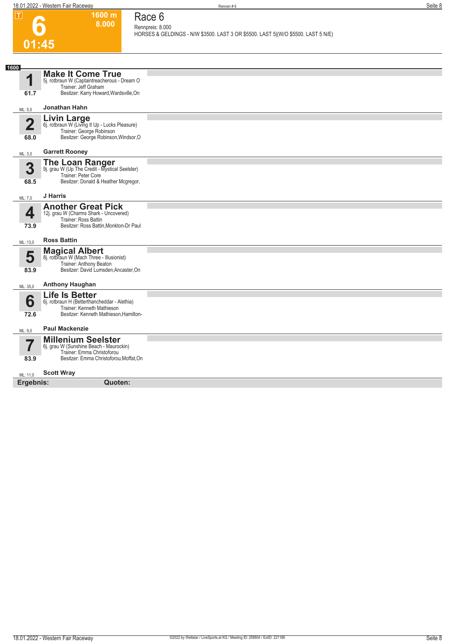**1600 m 8.000**  **Race 6 Rennpreis: 8.000**

**6**

**HORSES & GELDINGS - N/W \$3500. LAST 3 OR \$5500. LAST 5|(W/O \$5500. LAST 5 N/E)** 

| 01:45                           |                                                                                                                                               |  |
|---------------------------------|-----------------------------------------------------------------------------------------------------------------------------------------------|--|
| 1600                            |                                                                                                                                               |  |
| 1<br>61.7                       | <b>Make It Come True</b><br>5j. rotbraun W (Captaintreacherous - Dream O<br>Trainer: Jeff Graham<br>Besitzer: Karry Howard, Wardsville, On    |  |
| ML: 5,0                         | Jonathan Hahn                                                                                                                                 |  |
| $\overline{\mathbf{2}}$<br>68.0 | Livin Large<br>6j. rotbraun W (Living It Up - Lucks Pleasure)<br>Trainer: George Robinson<br>Besitzer: George Robinson, Windsor, O            |  |
| ML: 3,0                         | <b>Garrett Rooney</b>                                                                                                                         |  |
| 3<br>68.5                       | <b>The Loan Ranger</b><br>9j. grau W (Up The Credit - Mystical Seelster)<br>Trainer: Peter Core<br>Besitzer: Donald & Heather Mcgregor,       |  |
| ML: 7,0                         | J Harris                                                                                                                                      |  |
| 4<br>73.9                       | <b>Another Great Pick</b><br>12j. grau W (Charms Shark - Uncovered)<br>Trainer: Ross Battin<br>Besitzer: Ross Battin, Monkton-Dr Paul         |  |
| ML: 13,0                        | <b>Ross Battin</b>                                                                                                                            |  |
| 5<br>83.9                       | <b>Magical Albert</b><br>8j. rotbraun W (Mach Three - Illusionist)<br>Trainer: Anthony Beaton<br>Besitzer: David Lumsden, Ancaster, On        |  |
| ML: 35,0                        | <b>Anthony Haughan</b>                                                                                                                        |  |
| 6<br>72.6                       | <b>Life Is Better</b><br>6j. rotbraun H (Betterthancheddar - Alethia)<br>Trainer: Kenneth Mathieson<br>Besitzer: Kenneth Mathieson, Hamilton- |  |
| ML: 9,0                         | <b>Paul Mackenzie</b>                                                                                                                         |  |
| 7<br>83.9                       | <b>Millenium Seelster</b><br>6j. grau W (Sunshine Beach - Maurockin)<br>Trainer: Emma Christoforou<br>Besitzer: Emma Christoforou, Moffat, On |  |
| ML: 11,0                        | <b>Scott Wray</b>                                                                                                                             |  |
| Ergebnis:                       | Quoten:                                                                                                                                       |  |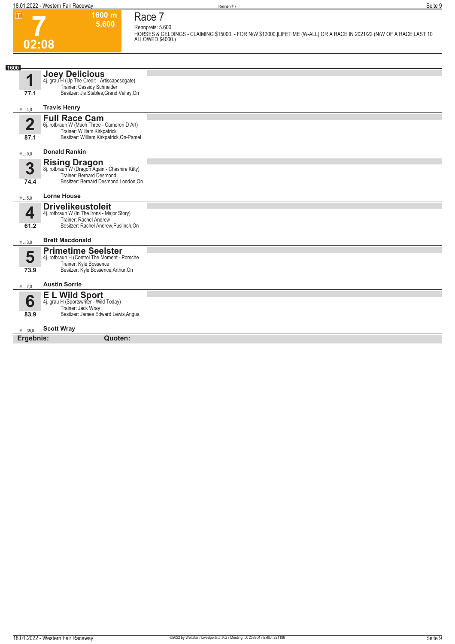**02:08**

| ס-<br>L |  |
|---------|--|

**1600 m 5.600** 

## **Race 7 Rennpreis: 5.600**

**HORSES & GELDINGS - CLAIMING \$15000. - FOR N/W \$12000.|LIFETIME (W-ALL) OR A RACE IN 2021/22 (N/W OF A RACE|LAST 10 ALLOWED \$4000.)** 

| 1600                            |                                                                                                                                                |  |
|---------------------------------|------------------------------------------------------------------------------------------------------------------------------------------------|--|
| 1<br>77.1                       | <b>Joey Delicious</b><br>4j. grau H (Up The Credit - Artiscapesdgate)<br>Trainer: Cassidy Schneider<br>Besitzer: Jis Stables, Grand Valley, On |  |
| ML: 4,0                         | <b>Travis Henry</b>                                                                                                                            |  |
| $\overline{\mathbf{2}}$<br>87.1 | <b>Full Race Cam</b><br>6j. rotbraun W (Mach Three - Cameron D Art)<br>Trainer: William Kirkpatrick<br>Besitzer: William Kirkpatrick, On-Pamel |  |
| ML: 9,0                         | <b>Donald Rankin</b>                                                                                                                           |  |
| 3<br>74.4                       | <b>Rising Dragon</b><br>8j. rotbraun W (Dragon Again - Cheshire Kitty)<br>Trainer: Bernard Desmond<br>Besitzer: Bernard Desmond, London, On    |  |
| ML: 5,0                         | <b>Lorne House</b>                                                                                                                             |  |
| 4<br>61.2                       | <b>Drivelikeustoleit</b><br>4j. rotbraun W (In The Irons - Major Story)<br>Trainer: Rachel Andrew<br>Besitzer: Rachel Andrew, Puslinch, On     |  |
| ML: 3,0                         | <b>Brett Macdonald</b>                                                                                                                         |  |
| 5<br>73.9                       | <b>Primetime Seelster</b><br>4j. rotbraun H (Control The Moment - Porsche<br>Trainer: Kyle Bossence<br>Besitzer: Kyle Bossence, Arthur, On     |  |
| ML: 7,0                         | <b>Austin Sorrie</b>                                                                                                                           |  |
| 6<br>83.9                       | E L Wild Sport<br>4j. grau H (Sportswriter - Wild Today)<br>Trainer: Jack Wray<br>Besitzer: James Edward Lewis, Angus,                         |  |
| ML: 35,0                        | <b>Scott Wray</b>                                                                                                                              |  |
| Ergebnis:                       | Quoten:                                                                                                                                        |  |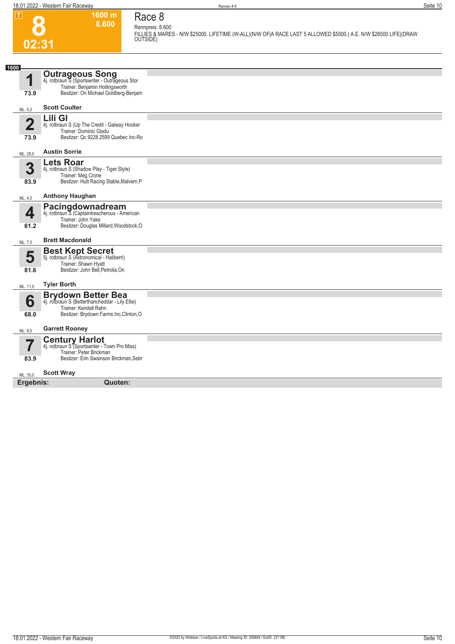**1600 m 8.600**  **Race 8**

**8** 

|                |                                                                          | Rennpreis: 8.600                                                                                                              |
|----------------|--------------------------------------------------------------------------|-------------------------------------------------------------------------------------------------------------------------------|
| 02:31          |                                                                          | FILLIES & MARES - N/W \$25000. LIFETIME (W-ALL)(N/W OF A RACE LAST 5 ALLOWED \$5000.) A.E. N/W \$28500 LIFE (DRAW<br>OUTSIDE) |
|                |                                                                          |                                                                                                                               |
| 1600           |                                                                          |                                                                                                                               |
| 1              | <b>Outrageous Song</b><br>4j. rotbraun S (Sportswriter - Outrageous Stor |                                                                                                                               |
| 73.9           | Trainer: Benjamin Hollingsworth<br>Besitzer: On Michael Goldberg-Benjam  |                                                                                                                               |
| ML: 5,0        | <b>Scott Coulter</b>                                                     |                                                                                                                               |
|                | Lili Gl                                                                  |                                                                                                                               |
| $\overline{2}$ | 4j. rotbraun S (Up The Credit - Galway Hooker<br>Trainer: Dominic Gladu  |                                                                                                                               |
| 73.9           | Besitzer: Qc 9228 2599 Quebec Inc-Ro                                     |                                                                                                                               |
| ML: 28,0       | <b>Austin Sorrie</b>                                                     |                                                                                                                               |
|                | <b>Lets Roar</b>                                                         |                                                                                                                               |
| 3              | 4j. rotbraun S (Shadow Play - Tiger Style)<br>Trainer: Meg Crone         |                                                                                                                               |
| 83.9           | Besitzer: Hutt Racing Stable, Malvern, P                                 |                                                                                                                               |
| ML: 4,0        | <b>Anthony Haughan</b>                                                   |                                                                                                                               |
|                | Pacingdownadream<br>4j. rotbraun S (Captaintreacherous - American        |                                                                                                                               |
| 4              | Trainer: John Yake                                                       |                                                                                                                               |
| 61.2           | Besitzer: Douglas Millard, Woodstock, O                                  |                                                                                                                               |
| ML: 7,0        | <b>Brett Macdonald</b>                                                   |                                                                                                                               |
|                | <b>Best Kept Secret</b><br>5j. rotbraun S (Astronomical - Haliberri)     |                                                                                                                               |
| 5              | Trainer: Shawn Hyatt                                                     |                                                                                                                               |
| 81.6           | Besitzer: John Bell, Petrolia, On                                        |                                                                                                                               |
| ML: 11,0       | <b>Tyler Borth</b>                                                       |                                                                                                                               |
|                | <b>Brydown Better Bea</b>                                                |                                                                                                                               |
| 6              | 4j. rotbraun S (Betterthancheddar - Lily Ellie)<br>Trainer: Kendall Rahn |                                                                                                                               |
| 68.0           | Besitzer: Brydown Farms Inc, Clinton, O                                  |                                                                                                                               |
| ML: 9,0        | <b>Garrett Rooney</b>                                                    |                                                                                                                               |
|                | <b>Century Harlot</b><br>4j. rotbraun S (Sportswriter - Town Pro Miss)   |                                                                                                                               |
| 7              | Trainer: Peter Brickman                                                  |                                                                                                                               |
| 83.9           | Besitzer: Erin Swainson Brickman, Sebr                                   |                                                                                                                               |
| ML: 35,0       | <b>Scott Wray</b>                                                        |                                                                                                                               |
| Ergebnis:      | Quoten:                                                                  |                                                                                                                               |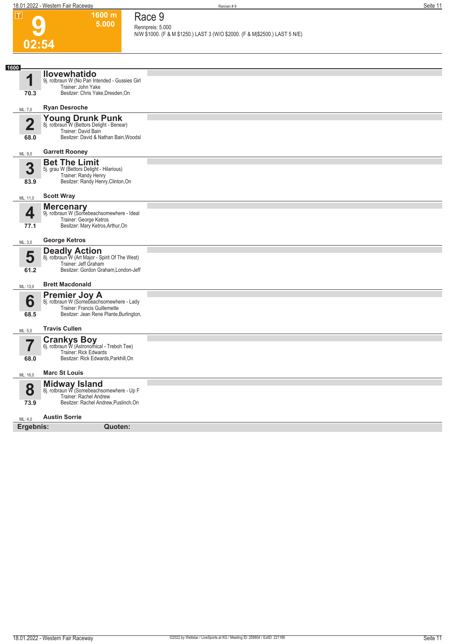| $\mathbf I$             | 1600 m<br>5.000                                                         | Race 9                                                                                          |
|-------------------------|-------------------------------------------------------------------------|-------------------------------------------------------------------------------------------------|
|                         |                                                                         | Rennpreis: 5.000<br>N/W \$1000. (F & M \$1250.) LAST 3 (W/O \$2000. (F & M \$2500.) LAST 5 N/E) |
| 02:54                   |                                                                         |                                                                                                 |
|                         |                                                                         |                                                                                                 |
| 1600                    | <b>Ilovewhatido</b>                                                     |                                                                                                 |
| 1                       | 9j. rotbraun W (No Pan Intended - Gussies Girl<br>Trainer: John Yake    |                                                                                                 |
| 70.3                    | Besitzer: Chris Yake, Dresden, On                                       |                                                                                                 |
| ML: 7,0                 | <b>Ryan Desroche</b>                                                    |                                                                                                 |
| $\overline{\mathbf{2}}$ | Young Drunk Punk<br>8j. rotbraun W (Bettors Delight - Benear)           |                                                                                                 |
| 68.0                    | Trainer: David Bain<br>Besitzer: David & Nathan Bain, Woodsl            |                                                                                                 |
|                         |                                                                         |                                                                                                 |
| ML: 9,0                 | <b>Garrett Rooney</b><br><b>Bet The Limit</b>                           |                                                                                                 |
| 3                       | 5j. grau W (Bettors Delight - Hilarious)                                |                                                                                                 |
| 83.9                    | Trainer: Randy Henry<br>Besitzer: Randy Henry, Clinton, On              |                                                                                                 |
| ML: 11,0                | <b>Scott Wray</b>                                                       |                                                                                                 |
|                         | <b>Mercenary</b><br>9j. rotbraun W (Somebeachsomewhere - Ideal          |                                                                                                 |
| 4                       | Trainer: George Ketros                                                  |                                                                                                 |
| 77.1                    | Besitzer: Mary Ketros, Arthur, On                                       |                                                                                                 |
| ML: 3,0                 | <b>George Ketros</b>                                                    |                                                                                                 |
| 5                       | <b>Deadly Action</b><br>8j. rotbraun W (Art Major - Spirit Of The West) |                                                                                                 |
| 61.2                    | Trainer: Jeff Graham<br>Besitzer: Gordon Graham, London-Jeff            |                                                                                                 |
| ML: 13,0                | <b>Brett Macdonald</b>                                                  |                                                                                                 |
|                         | <b>Premier Joy A</b> 8j. rotbraun W (Somebeachsomewhere - Lady          |                                                                                                 |
| 6                       | Trainer: Francis Guillemette                                            |                                                                                                 |
| 68.5                    | Besitzer: Jean Rene Plante, Burlington,                                 |                                                                                                 |
| ML: 5,0                 | <b>Travis Cullen</b>                                                    |                                                                                                 |
|                         | <b>Crankys Boy</b><br>6j. rotbraun W (Astronomical - Treboh Tee)        |                                                                                                 |
| 68.0                    | Trainer: Rick Edwards<br>Besitzer: Rick Edwards, Parkhill, On           |                                                                                                 |
| ML: 16,0                | <b>Marc St Louis</b>                                                    |                                                                                                 |
|                         | Midway Island<br>8j. rotbraun W (Somebeachsomewhere - Up F              |                                                                                                 |
| 8                       | Trainer: Rachel Andrew                                                  |                                                                                                 |
| 73.9                    | Besitzer: Rachel Andrew, Puslinch, On                                   |                                                                                                 |
| ML: 4,0                 | <b>Austin Sorrie</b>                                                    |                                                                                                 |
| Ergebnis:               | Quoten:                                                                 |                                                                                                 |